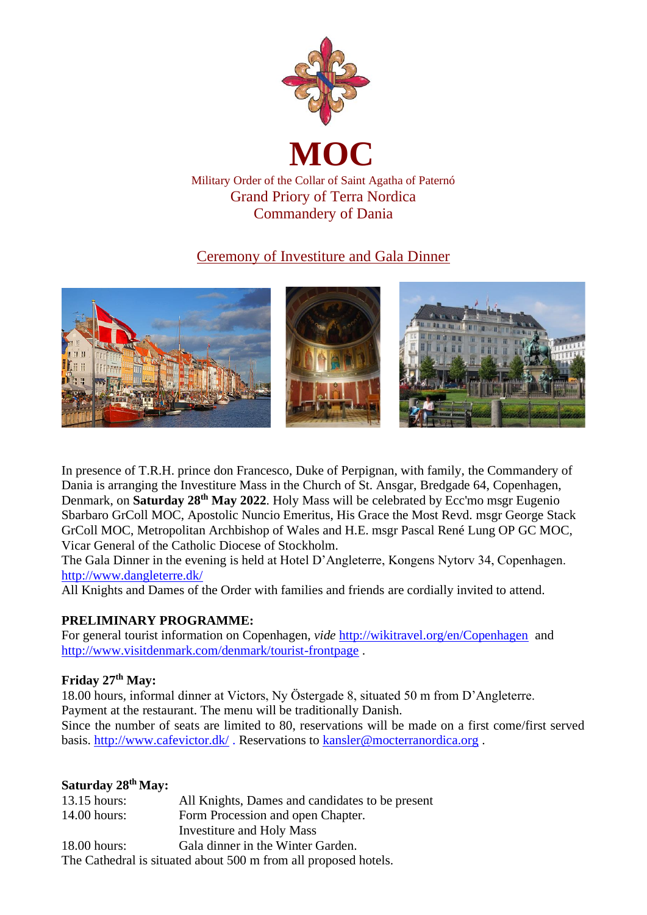

## Ceremony of Investiture and Gala Dinner



In presence of T.R.H. prince don Francesco, Duke of Perpignan, with family, the Commandery of Dania is arranging the Investiture Mass in the Church of St. Ansgar, Bredgade 64, Copenhagen, Denmark, on **Saturday 28th May 2022**. Holy Mass will be celebrated by Ecc'mo msgr Eugenio Sbarbaro GrColl MOC, Apostolic Nuncio Emeritus, His Grace the Most Revd. msgr George Stack GrColl MOC, Metropolitan Archbishop of Wales and H.E. msgr Pascal René Lung OP GC MOC, Vicar General of the Catholic Diocese of Stockholm.

The Gala Dinner in the evening is held at Hotel D'Angleterre, Kongens Nytorv 34, Copenhagen. <http://www.dangleterre.dk/>

All Knights and Dames of the Order with families and friends are cordially invited to attend.

## **PRELIMINARY PROGRAMME:**

For general tourist information on Copenhagen, *vide* <http://wikitravel.org/en/Copenhagen> and <http://www.visitdenmark.com/denmark/tourist-frontpage> .

### **Friday 27 th May:**

18.00 hours, informal dinner at Victors, Ny Östergade 8, situated 50 m from D'Angleterre. Payment at the restaurant. The menu will be traditionally Danish. Since the number of seats are limited to 80, reservations will be made on a first come/first served basis.<http://www.cafevictor.dk/> . Reservations to [kansler@mocterranordica.org](mailto:kansler@mocterranordica.org) .

### **Saturday 28th May:**

| $13.15$ hours: | All Knights, Dames and candidates to be present                 |
|----------------|-----------------------------------------------------------------|
| $14.00$ hours: | Form Procession and open Chapter.                               |
|                | <b>Investiture and Holy Mass</b>                                |
| $18.00$ hours: | Gala dinner in the Winter Garden.                               |
|                | The Cathedral is situated about 500 m from all proposed hotels. |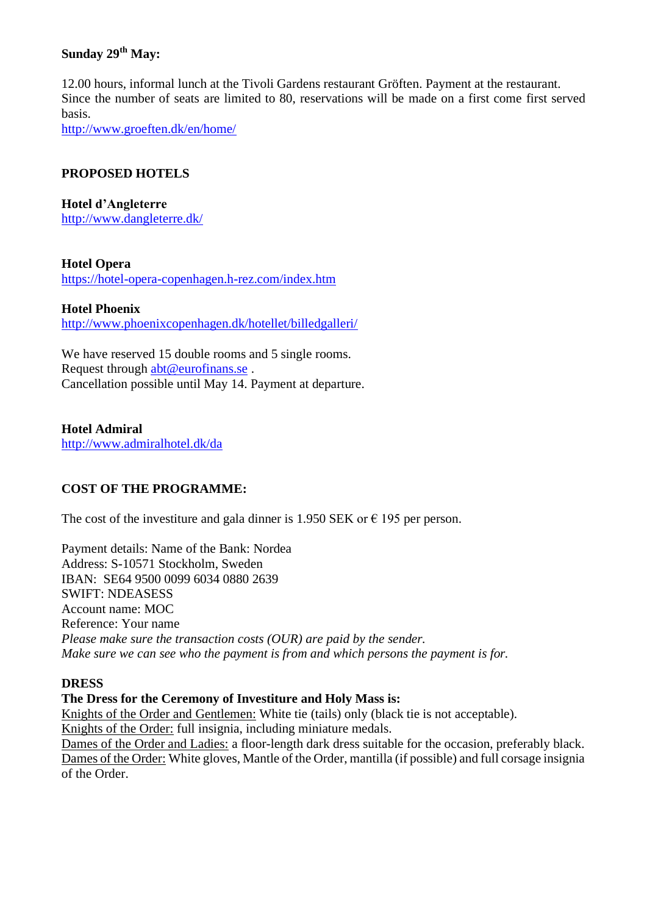### **Sunday 29th May:**

12.00 hours, informal lunch at the Tivoli Gardens restaurant Gröften. Payment at the restaurant. Since the number of seats are limited to 80, reservations will be made on a first come first served basis.

<http://www.groeften.dk/en/home/>

### **PROPOSED HOTELS**

**Hotel d'Angleterre** <http://www.dangleterre.dk/>

### **Hotel Opera**

<https://hotel-opera-copenhagen.h-rez.com/index.htm>

#### **Hotel Phoenix**

<http://www.phoenixcopenhagen.dk/hotellet/billedgalleri/>

We have reserved 15 double rooms and 5 single rooms. Request through [abt@eurofinans.se](mailto:abt@eurofinans.se) . Cancellation possible until May 14. Payment at departure.

**Hotel Admiral** <http://www.admiralhotel.dk/da>

### **COST OF THE PROGRAMME:**

The cost of the investiture and gala dinner is 1.950 SEK or  $\epsilon$  195 per person.

Payment details: Name of the Bank: Nordea Address: S-10571 Stockholm, Sweden IBAN: SE64 9500 0099 6034 0880 2639 SWIFT: NDEASESS Account name: MOC Reference: Your name *Please make sure the transaction costs (OUR) are paid by the sender. Make sure we can see who the payment is from and which persons the payment is for.*

#### **DRESS**

**The Dress for the Ceremony of Investiture and Holy Mass is:**

Knights of the Order and Gentlemen: White tie (tails) only (black tie is not acceptable). Knights of the Order: full insignia, including miniature medals.

Dames of the Order and Ladies: a floor-length dark dress suitable for the occasion, preferably black. Dames of the Order: White gloves, Mantle of the Order, mantilla (if possible) and full corsage insignia of the Order.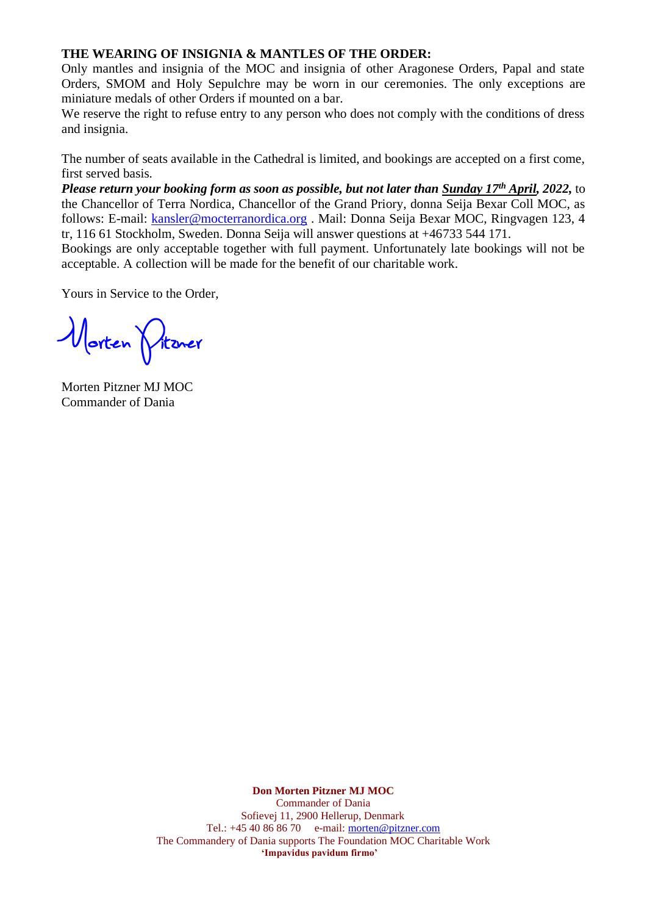#### **THE WEARING OF INSIGNIA & MANTLES OF THE ORDER:**

Only mantles and insignia of the MOC and insignia of other Aragonese Orders, Papal and state Orders, SMOM and Holy Sepulchre may be worn in our ceremonies. The only exceptions are miniature medals of other Orders if mounted on a bar.

We reserve the right to refuse entry to any person who does not comply with the conditions of dress and insignia.

The number of seats available in the Cathedral is limited, and bookings are accepted on a first come, first served basis.

*Please return your booking form as soon as possible, but not later than Sunday 17 th April, 2022,* to the Chancellor of Terra Nordica, Chancellor of the Grand Priory, donna Seija Bexar Coll MOC, as follows: E-mail: [kansler@mocterranordica.org](mailto:kansler@mocterranordica.org) . Mail: Donna Seija Bexar MOC, Ringvagen 123, 4 tr, 116 61 Stockholm, Sweden. Donna Seija will answer questions at +46733 544 171.

Bookings are only acceptable together with full payment. Unfortunately late bookings will not be acceptable. A collection will be made for the benefit of our charitable work.

Yours in Service to the Order,

**Morten Pitzner**

Morten Pitzner MJ MOC Commander of Dania

**Don Morten Pitzner MJ MOC** Commander of Dania Sofievej 11, 2900 Hellerup, Denmark Tel.: +45 40 86 86 70 e-mail: [morten@pitzner.com](mailto:morten@pitzner.com) The Commandery of Dania supports The Foundation MOC Charitable Work **'Impavidus pavidum firmo'**